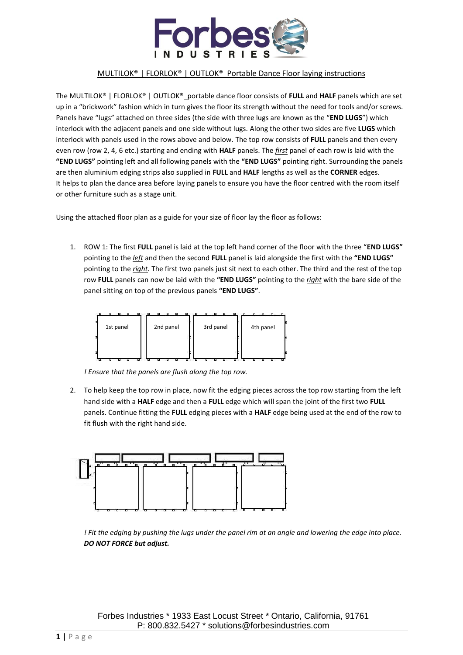

The MULTILOK® | FLORLOK® | OUTLOK®\_portable dance floor consists of FULL and HALF panels which are set up in a "brickwork" fashion which in turn gives the floor its strength without the need for tools and/or screws. Panels have "lugs" attached on three sides (the side with three lugs are known as the "**END LUGS**") which interlock with the adjacent panels and one side without lugs. Along the other two sides are five **LUGS** which interlock with panels used in the rows above and below. The top row consists of **FULL** panels and then every even row (row 2, 4, 6 etc.) starting and ending with **HALF** panels. The *first* panel of each row is laid with the **"END LUGS"** pointing left and all following panels with the **"END LUGS"** pointing right. Surrounding the panels are then aluminium edging strips also supplied in **FULL** and **HALF** lengths as well as the **CORNER** edges. It helps to plan the dance area before laying panels to ensure you have the floor centred with the room itself or other furniture such as a stage unit.

Using the attached floor plan as a guide for your size of floor lay the floor as follows:

1. ROW 1: The first **FULL** panel is laid at the top left hand corner of the floor with the three "**END LUGS"**  pointing to the *left* and then the second **FULL** panel is laid alongside the first with the **"END LUGS"**  pointing to the *right*. The first two panels just sit next to each other. The third and the rest of the top row **FULL** panels can now be laid with the **"END LUGS"** pointing to the *right* with the bare side of the panel sitting on top of the previous panels **"END LUGS"**.



*! Ensure that the panels are flush along the top row.*

2. To help keep the top row in place, now fit the edging pieces across the top row starting from the left hand side with a **HALF** edge and then a **FULL** edge which will span the joint of the first two **FULL** panels. Continue fitting the **FULL** edging pieces with a **HALF** edge being used at the end of the row to fit flush with the right hand side.



*! Fit the edging by pushing the lugs under the panel rim at an angle and lowering the edge into place. DO NOT FORCE but adjust.*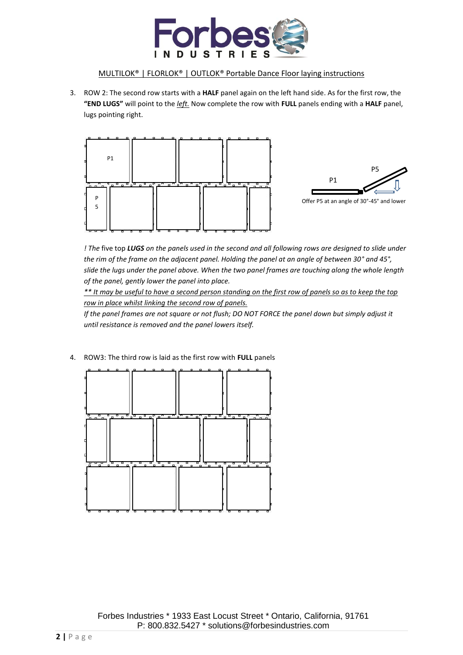

3. ROW 2: The second row starts with a **HALF** panel again on the left hand side. As for the first row, the **"END LUGS"** will point to the *left.* Now complete the row with **FULL** panels ending with a **HALF** panel, lugs pointing right.



*! The* five top *LUGS on the panels used in the second and all following rows are designed to slide under the rim of the frame on the adjacent panel. Holding the panel at an angle of between 30° and 45°, slide the lugs under the panel above. When the two panel frames are touching along the whole length of the panel, gently lower the panel into place.*

*\*\* It may be useful to have a second person standing on the first row of panels so as to keep the top row in place whilst linking the second row of panels.* 

*If the panel frames are not square or not flush; DO NOT FORCE the panel down but simply adjust it until resistance is removed and the panel lowers itself.*

4. ROW3: The third row is laid as the first row with **FULL** panels

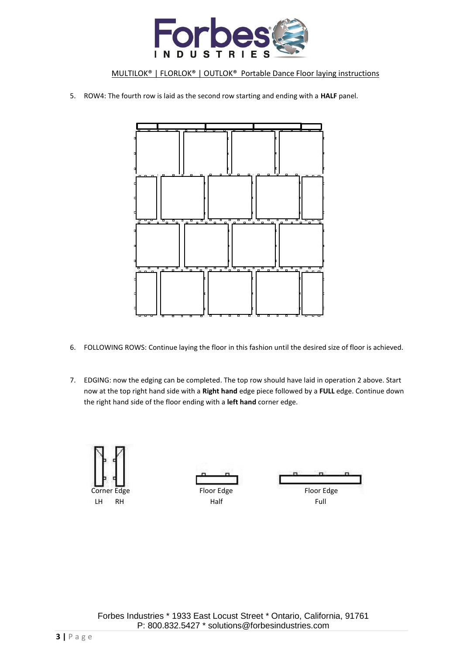

5. ROW4: The fourth row is laid as the second row starting and ending with a **HALF** panel.



- 6. FOLLOWING ROWS: Continue laying the floor in this fashion until the desired size of floor is achieved.
- 7. EDGING: now the edging can be completed. The top row should have laid in operation 2 above. Start now at the top right hand side with a **Right hand** edge piece followed by a **FULL** edge. Continue down the right hand side of the floor ending with a **left hand** corner edge.

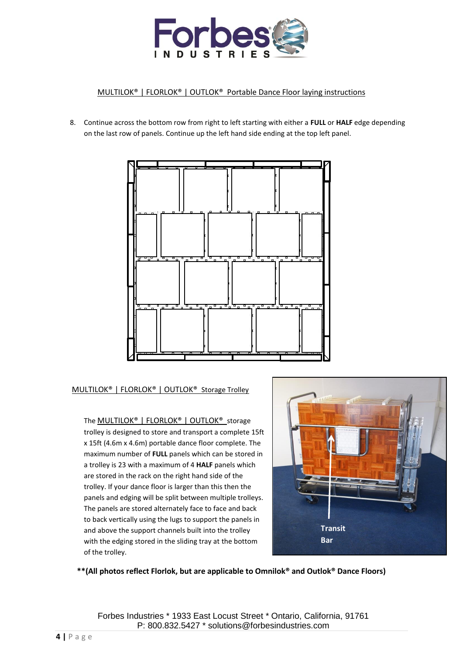

8. Continue across the bottom row from right to left starting with either a **FULL** or **HALF** edge depending on the last row of panels. Continue up the left hand side ending at the top left panel.



MULTILOK® | FLORLOK® | OUTLOK® Storage Trolley

The **MULTILOK<sup>®</sup> | FLORLOK<sup>®</sup> | OUTLOK<sup>®</sup> storage** trolley is designed to store and transport a complete 15ft x 15ft (4.6m x 4.6m) portable dance floor complete. The maximum number of **FULL** panels which can be stored in a trolley is 23 with a maximum of 4 **HALF** panels which are stored in the rack on the right hand side of the trolley. If your dance floor is larger than this then the panels and edging will be split between multiple trolleys. The panels are stored alternately face to face and back to back vertically using the lugs to support the panels in and above the support channels built into the trolley with the edging stored in the sliding tray at the bottom of the trolley.



**\*\*(All photos reflect Florlok, but are applicable to Omnilok® and Outlok® Dance Floors)**

Forbes Industries \* 1933 East Locust Street \* Ontario, California, 91761 P: 800.832.5427 \* solutions@forbesindustries.com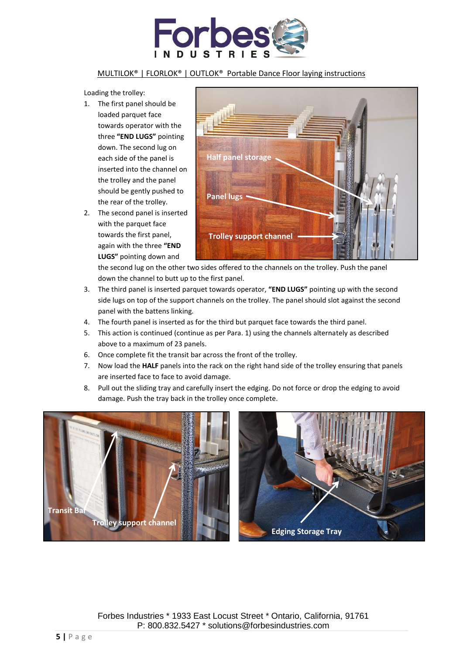

Loading the trolley:

- 1. The first panel should be loaded parquet face towards operator with the three **"END LUGS"** pointing down. The second lug on each side of the panel is inserted into the channel on the trolley and the panel should be gently pushed to the rear of the trolley.
- 2. The second panel is inserted with the parquet face towards the first panel, again with the three **"END LUGS"** pointing down and



the second lug on the other two sides offered to the channels on the trolley. Push the panel down the channel to butt up to the first panel.

- 3. The third panel is inserted parquet towards operator, **"END LUGS"** pointing up with the second side lugs on top of the support channels on the trolley. The panel should slot against the second panel with the battens linking.
- 4. The fourth panel is inserted as for the third but parquet face towards the third panel.
- 5. This action is continued (continue as per Para. 1) using the channels alternately as described above to a maximum of 23 panels.
- 6. Once complete fit the transit bar across the front of the trolley.
- 7. Now load the **HALF** panels into the rack on the right hand side of the trolley ensuring that panels are inserted face to face to avoid damage.
- 8. Pull out the sliding tray and carefully insert the edging. Do not force or drop the edging to avoid damage. Push the tray back in the trolley once complete.

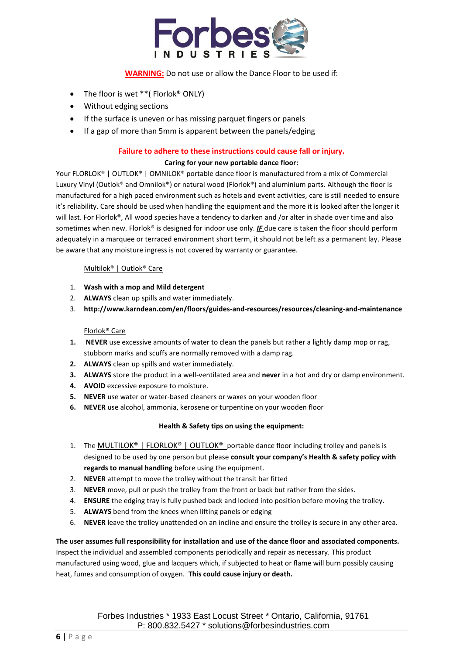

### **WARNING:** Do not use or allow the Dance Floor to be used if:

- The floor is wet \*\* (Florlok<sup>®</sup> ONLY)
- Without edging sections
- If the surface is uneven or has missing parquet fingers or panels
- If a gap of more than 5mm is apparent between the panels/edging

#### **Failure to adhere to these instructions could cause fall or injury.**

#### **Caring for your new portable dance floor:**

Your FLORLOK® | OUTLOK® | OMNILOK® portable dance floor is manufactured from a mix of Commercial Luxury Vinyl (Outlok® and Omnilok®) or natural wood (Florlok®) and aluminium parts. Although the floor is manufactured for a high paced environment such as hotels and event activities, care is still needed to ensure it's reliability. Care should be used when handling the equipment and the more it is looked after the longer it will last. For Florlok®, All wood species have a tendency to darken and /or alter in shade over time and also sometimes when new. Florlok® is designed for indoor use only. *IF* due care is taken the floor should perform adequately in a marquee or terraced environment short term, it should not be left as a permanent lay. Please be aware that any moisture ingress is not covered by warranty or guarantee.

#### Multilok® | Outlok® Care

- 1. **Wash with a mop and Mild detergent**
- 2. **ALWAYS** clean up spills and water immediately.
- 3. **http://www.karndean.com/en/floors/guides-and-resources/resources/cleaning-and-maintenance**

#### Florlok® Care

- **1. NEVER** use excessive amounts of water to clean the panels but rather a lightly damp mop or rag, stubborn marks and scuffs are normally removed with a damp rag.
- **2. ALWAYS** clean up spills and water immediately.
- **3. ALWAYS** store the product in a well-ventilated area and **never** in a hot and dry or damp environment.
- **4. AVOID** excessive exposure to moisture.
- **5. NEVER** use water or water-based cleaners or waxes on your wooden floor
- **6. NEVER** use alcohol, ammonia, kerosene or turpentine on your wooden floor

#### **Health & Safety tips on using the equipment:**

- 1. The MULTILOK® | FLORLOK® | OUTLOK® portable dance floor including trolley and panels is designed to be used by one person but please **consult your company's Health & safety policy with regards to manual handling** before using the equipment.
- 2. **NEVER** attempt to move the trolley without the transit bar fitted
- 3. **NEVER** move, pull or push the trolley from the front or back but rather from the sides.
- 4. **ENSURE** the edging tray is fully pushed back and locked into position before moving the trolley.
- 5. **ALWAYS** bend from the knees when lifting panels or edging
- 6. **NEVER** leave the trolley unattended on an incline and ensure the trolley is secure in any other area.

**The user assumes full responsibility for installation and use of the dance floor and associated components.** Inspect the individual and assembled components periodically and repair as necessary. This product manufactured using wood, glue and lacquers which, if subjected to heat or flame will burn possibly causing heat, fumes and consumption of oxygen. **This could cause injury or death.**